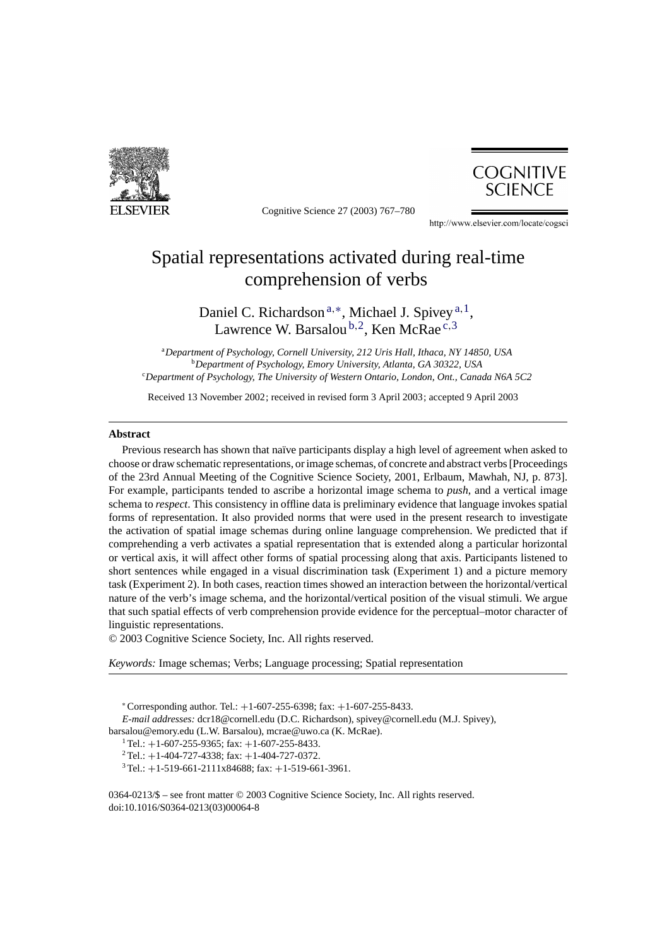

Cognitive Science 27 (2003) 767–780



http://www.elsevier.com/locate/cogsci

## Spatial representations activated during real-time comprehension of verbs

Daniel C. Richardson<sup>a,∗</sup>, Michael J. Spivey<sup>a, 1</sup>, Lawrence W. Barsalou  $b$ , 2, Ken McRae  $c$ , 3

<sup>a</sup>*Department of Psychology, Cornell University, 212 Uris Hall, Ithaca, NY 14850, USA* <sup>b</sup>*Department of Psychology, Emory University, Atlanta, GA 30322, USA* c *Department of Psychology, The University of Western Ontario, London, Ont., Canada N6A 5C2*

Received 13 November 2002; received in revised form 3 April 2003; accepted 9 April 2003

#### **Abstract**

Previous research has shown that naïve participants display a high level of agreement when asked to choose or draw schematic representations, or image schemas, of concrete and abstract verbs [Proceedings of the 23rd Annual Meeting of the Cognitive Science Society, 2001, Erlbaum, Mawhah, NJ, p. 873]. For example, participants tended to ascribe a horizontal image schema to *push*, and a vertical image schema to *respect*. This consistency in offline data is preliminary evidence that language invokes spatial forms of representation. It also provided norms that were used in the present research to investigate the activation of spatial image schemas during online language comprehension. We predicted that if comprehending a verb activates a spatial representation that is extended along a particular horizontal or vertical axis, it will affect other forms of spatial processing along that axis. Participants listened to short sentences while engaged in a visual discrimination task (Experiment 1) and a picture memory task (Experiment 2). In both cases, reaction times showed an interaction between the horizontal/vertical nature of the verb's image schema, and the horizontal/vertical position of the visual stimuli. We argue that such spatial effects of verb comprehension provide evidence for the perceptual–motor character of linguistic representations.

© 2003 Cognitive Science Society, Inc. All rights reserved.

*Keywords:* Image schemas; Verbs; Language processing; Spatial representation

 $*$  Corresponding author. Tel.:  $+1$ -607-255-6398; fax:  $+1$ -607-255-8433.

*E-mail addresses:* dcr18@cornell.edu (D.C. Richardson), spivey@cornell.edu (M.J. Spivey),

barsalou@emory.edu (L.W. Barsalou), mcrae@uwo.ca (K. McRae).

<sup>1</sup> Tel.: +1-607-255-9365; fax: +1-607-255-8433.<br><sup>2</sup> Tel.: +1-404-727-4338; fax: +1-404-727-0372.<br><sup>3</sup> Tel.: +1-519-661-2111x84688; fax: +1-519-661-3961.

0364-0213/\$ – see front matter © 2003 Cognitive Science Society, Inc. All rights reserved. doi:10.1016/S0364-0213(03)00064-8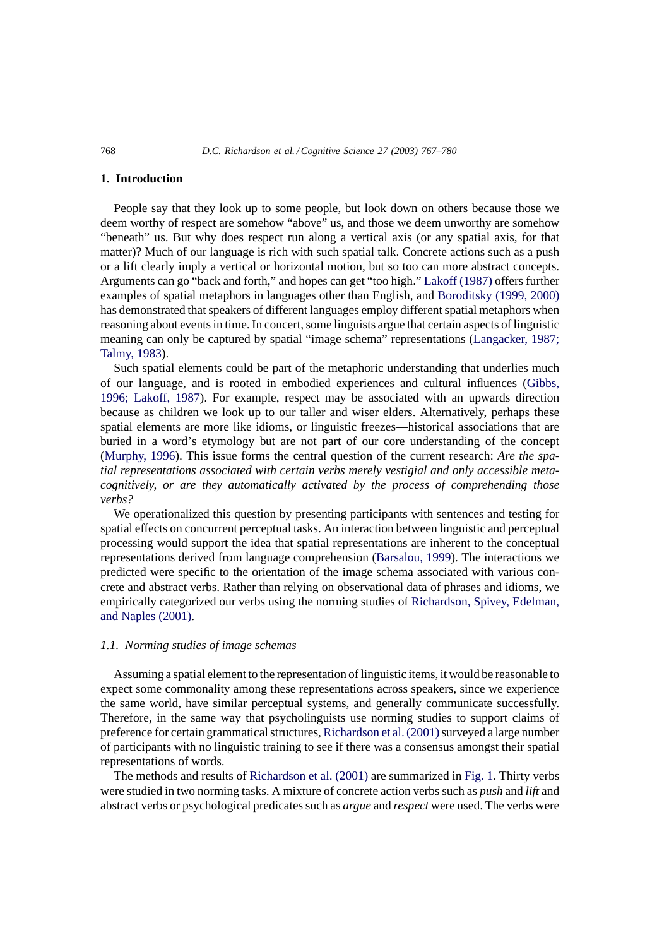## **1. Introduction**

People say that they look up to some people, but look down on others because those we deem worthy of respect are somehow "above" us, and those we deem unworthy are somehow "beneath" us. But why does respect run along a vertical axis (or any spatial axis, for that matter)? Much of our language is rich with such spatial talk. Concrete actions such as a push or a lift clearly imply a vertical or horizontal motion, but so too can more abstract concepts. Arguments can go "back and forth," and hopes can get "too high." [Lakoff \(1987\)](#page-13-0) offers further examples of spatial metaphors in languages other than English, and [Boroditsky \(1999, 2000\)](#page-12-0) has demonstrated that speakers of different languages employ different spatial metaphors when reasoning about events in time. In concert, some linguists argue that certain aspects of linguistic meaning can only be captured by spatial "image schema" representations ([Langacker, 1987;](#page-13-0) [Talmy, 1983\).](#page-13-0)

Such spatial elements could be part of the metaphoric understanding that underlies much of our language, and is rooted in embodied experiences and cultural influences ([Gibbs,](#page-13-0) [1996; Lakoff, 1987\)](#page-13-0). For example, respect may be associated with an upwards direction because as children we look up to our taller and wiser elders. Alternatively, perhaps these spatial elements are more like idioms, or linguistic freezes—historical associations that are buried in a word's etymology but are not part of our core understanding of the concept [\(Murphy, 1996\).](#page-13-0) This issue forms the central question of the current research: *Are the spatial representations associated with certain verbs merely vestigial and only accessible metacognitively, or are they automatically activated by the process of comprehending those verbs?*

We operationalized this question by presenting participants with sentences and testing for spatial effects on concurrent perceptual tasks. An interaction between linguistic and perceptual processing would support the idea that spatial representations are inherent to the conceptual representations derived from language comprehension ([Barsalou, 1999\).](#page-12-0) The interactions we predicted were specific to the orientation of the image schema associated with various concrete and abstract verbs. Rather than relying on observational data of phrases and idioms, we empirically categorized our verbs using the norming studies of [Richardson, Spivey, Edelman,](#page-13-0) [and Naples \(2001\).](#page-13-0)

#### *1.1. Norming studies of image schemas*

Assuming a spatial element to the representation of linguistic items, it would be reasonable to expect some commonality among these representations across speakers, since we experience the same world, have similar perceptual systems, and generally communicate successfully. Therefore, in the same way that psycholinguists use norming studies to support claims of preference for certain grammatical structures, Richardson et al. (2001) surveyed a large number of participants with no linguistic training to see if there was a consensus amongst their spatial representations of words.

The methods and results of [Richardson et al. \(2001\)](#page-13-0) are summarized in [Fig. 1. T](#page-2-0)hirty verbs were studied in two norming tasks. A mixture of concrete action verbs such as *push* and *lift* and abstract verbs or psychological predicates such as *argue* and *respect* were used. The verbs were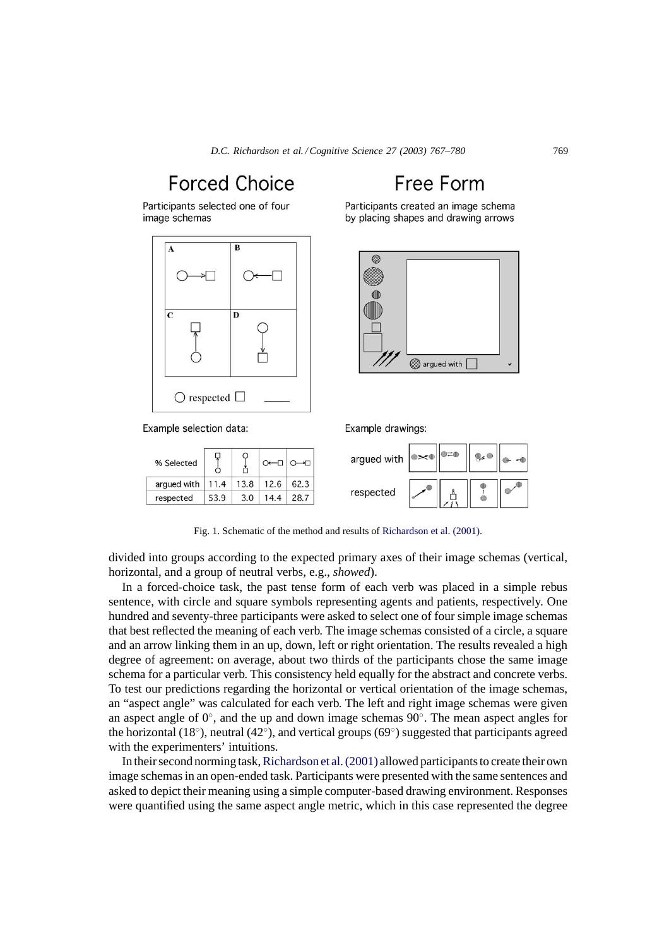# <span id="page-2-0"></span>Forced Choice

Participants selected one of four image schemas



Example selection data:

## Free Form

Participants created an image schema by placing shapes and drawing arrows



Example drawings:



Fig. 1. Schematic of the method and results of [Richardson et al. \(2001\).](#page-13-0)

divided into groups according to the expected primary axes of their image schemas (vertical, horizontal, and a group of neutral verbs, e.g., *showed*).

In a forced-choice task, the past tense form of each verb was placed in a simple rebus sentence, with circle and square symbols representing agents and patients, respectively. One hundred and seventy-three participants were asked to select one of four simple image schemas that best reflected the meaning of each verb. The image schemas consisted of a circle, a square and an arrow linking them in an up, down, left or right orientation. The results revealed a high degree of agreement: on average, about two thirds of the participants chose the same image schema for a particular verb. This consistency held equally for the abstract and concrete verbs. To test our predictions regarding the horizontal or vertical orientation of the image schemas, an "aspect angle" was calculated for each verb. The left and right image schemas were given an aspect angle of 0◦, and the up and down image schemas 90◦. The mean aspect angles for the horizontal (18°), neutral (42°), and vertical groups (69°) suggested that participants agreed with the experimenters' intuitions.

In their second norming task, [Richardson et al. \(2001\)](#page-13-0) allowed participants to create their own image schemas in an open-ended task. Participants were presented with the same sentences and asked to depict their meaning using a simple computer-based drawing environment. Responses were quantified using the same aspect angle metric, which in this case represented the degree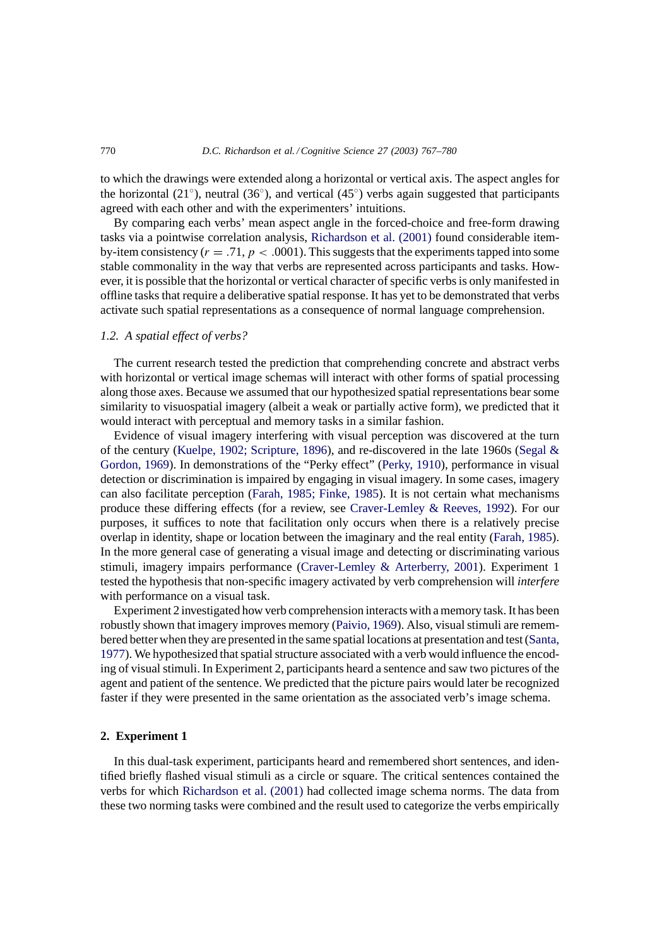to which the drawings were extended along a horizontal or vertical axis. The aspect angles for the horizontal (21 $\degree$ ), neutral (36 $\degree$ ), and vertical (45 $\degree$ ) verbs again suggested that participants agreed with each other and with the experimenters' intuitions.

By comparing each verbs' mean aspect angle in the forced-choice and free-form drawing tasks via a pointwise correlation analysis, [Richardson et al. \(2001\)](#page-13-0) found considerable itemby-item consistency ( $r = .71$ ,  $p < .0001$ ). This suggests that the experiments tapped into some stable commonality in the way that verbs are represented across participants and tasks. However, it is possible that the horizontal or vertical character of specific verbs is only manifested in offline tasks that require a deliberative spatial response. It has yet to be demonstrated that verbs activate such spatial representations as a consequence of normal language comprehension.

#### *1.2. A spatial effect of verbs?*

The current research tested the prediction that comprehending concrete and abstract verbs with horizontal or vertical image schemas will interact with other forms of spatial processing along those axes. Because we assumed that our hypothesized spatial representations bear some similarity to visuospatial imagery (albeit a weak or partially active form), we predicted that it would interact with perceptual and memory tasks in a similar fashion.

Evidence of visual imagery interfering with visual perception was discovered at the turn of the century ([Kuelpe, 1902; Scripture, 1896\),](#page-13-0) and re-discovered in the late 1960s ([Segal &](#page-13-0) [Gordon, 1969\).](#page-13-0) In demonstrations of the "Perky effect" ([Perky, 1910\),](#page-13-0) performance in visual detection or discrimination is impaired by engaging in visual imagery. In some cases, imagery can also facilitate perception [\(Farah, 1985; Finke, 1985\)](#page-13-0). It is not certain what mechanisms produce these differing effects (for a review, see [Craver-Lemley & Reeves, 1992\)](#page-12-0). For our purposes, it suffices to note that facilitation only occurs when there is a relatively precise overlap in identity, shape or location between the imaginary and the real entity [\(Farah, 1985\).](#page-13-0) In the more general case of generating a visual image and detecting or discriminating various stimuli, imagery impairs performance ([Craver-Lemley & Arterberry, 2001\)](#page-12-0). Experiment 1 tested the hypothesis that non-specific imagery activated by verb comprehension will *interfere* with performance on a visual task.

Experiment 2 investigated how verb comprehension interacts with a memory task. It has been robustly shown that imagery improves memory ([Paivio, 1969\).](#page-13-0) Also, visual stimuli are remembered better when they are presented in the same spatial locations at presentation and test [\(Santa,](#page-13-0) [1977\).](#page-13-0) We hypothesized that spatial structure associated with a verb would influence the encoding of visual stimuli. In Experiment 2, participants heard a sentence and saw two pictures of the agent and patient of the sentence. We predicted that the picture pairs would later be recognized faster if they were presented in the same orientation as the associated verb's image schema.

## **2. Experiment 1**

In this dual-task experiment, participants heard and remembered short sentences, and identified briefly flashed visual stimuli as a circle or square. The critical sentences contained the verbs for which [Richardson et al. \(2001\)](#page-13-0) had collected image schema norms. The data from these two norming tasks were combined and the result used to categorize the verbs empirically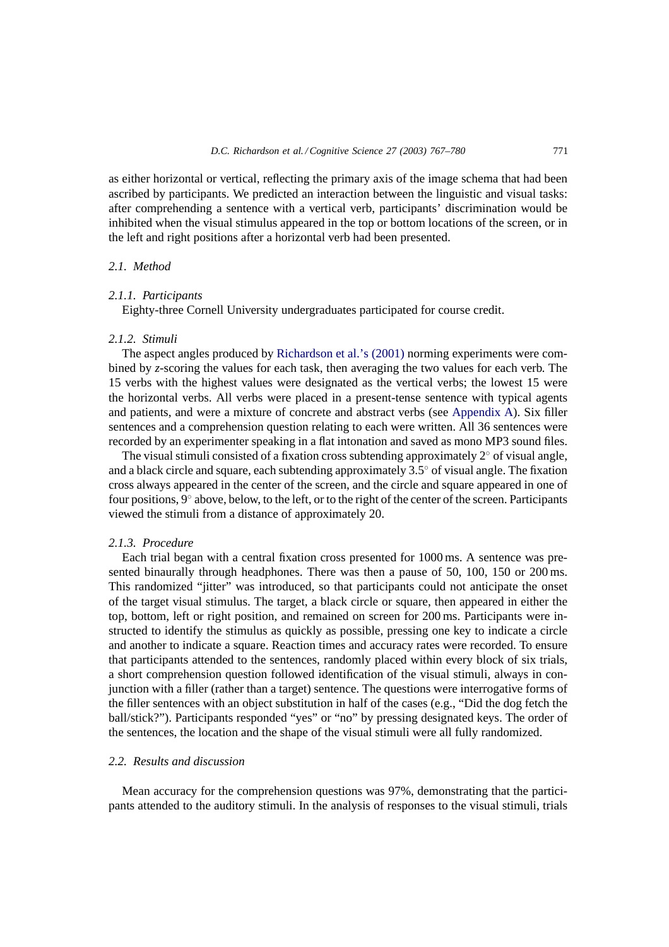as either horizontal or vertical, reflecting the primary axis of the image schema that had been ascribed by participants. We predicted an interaction between the linguistic and visual tasks: after comprehending a sentence with a vertical verb, participants' discrimination would be inhibited when the visual stimulus appeared in the top or bottom locations of the screen, or in the left and right positions after a horizontal verb had been presented.

## *2.1. Method*

## *2.1.1. Participants*

Eighty-three Cornell University undergraduates participated for course credit.

#### *2.1.2. Stimuli*

The aspect angles produced by [Richardson et al.'s \(2001\)](#page-13-0) norming experiments were combined by *z*-scoring the values for each task, then averaging the two values for each verb. The 15 verbs with the highest values were designated as the vertical verbs; the lowest 15 were the horizontal verbs. All verbs were placed in a present-tense sentence with typical agents and patients, and were a mixture of concrete and abstract verbs (see [Appendix A\).](#page-11-0) Six filler sentences and a comprehension question relating to each were written. All 36 sentences were recorded by an experimenter speaking in a flat intonation and saved as mono MP3 sound files.

The visual stimuli consisted of a fixation cross subtending approximately 2◦ of visual angle, and a black circle and square, each subtending approximately 3.5◦ of visual angle. The fixation cross always appeared in the center of the screen, and the circle and square appeared in one of four positions, 9◦ above, below, to the left, or to the right of the center of the screen. Participants viewed the stimuli from a distance of approximately 20.

#### *2.1.3. Procedure*

Each trial began with a central fixation cross presented for 1000 ms. A sentence was presented binaurally through headphones. There was then a pause of 50, 100, 150 or 200 ms. This randomized "jitter" was introduced, so that participants could not anticipate the onset of the target visual stimulus. The target, a black circle or square, then appeared in either the top, bottom, left or right position, and remained on screen for 200 ms. Participants were instructed to identify the stimulus as quickly as possible, pressing one key to indicate a circle and another to indicate a square. Reaction times and accuracy rates were recorded. To ensure that participants attended to the sentences, randomly placed within every block of six trials, a short comprehension question followed identification of the visual stimuli, always in conjunction with a filler (rather than a target) sentence. The questions were interrogative forms of the filler sentences with an object substitution in half of the cases (e.g., "Did the dog fetch the ball/stick?"). Participants responded "yes" or "no" by pressing designated keys. The order of the sentences, the location and the shape of the visual stimuli were all fully randomized.

#### *2.2. Results and discussion*

Mean accuracy for the comprehension questions was 97%, demonstrating that the participants attended to the auditory stimuli. In the analysis of responses to the visual stimuli, trials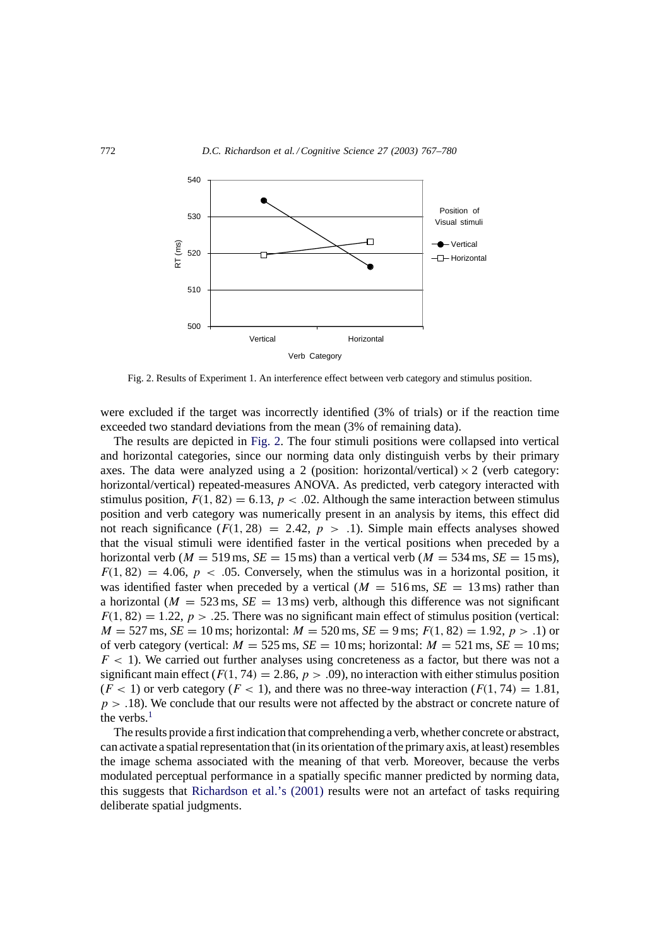

Fig. 2. Results of Experiment 1. An interference effect between verb category and stimulus position.

were excluded if the target was incorrectly identified (3% of trials) or if the reaction time exceeded two standard deviations from the mean (3% of remaining data).

The results are depicted in Fig. 2. The four stimuli positions were collapsed into vertical and horizontal categories, since our norming data only distinguish verbs by their primary axes. The data were analyzed using a 2 (position: horizontal/vertical)  $\times$  2 (verb category: horizontal/vertical) repeated-measures ANOVA. As predicted, verb category interacted with stimulus position,  $F(1, 82) = 6.13$ ,  $p < .02$ . Although the same interaction between stimulus position and verb category was numerically present in an analysis by items, this effect did not reach significance  $(F(1, 28) = 2.42, p > .1)$ . Simple main effects analyses showed that the visual stimuli were identified faster in the vertical positions when preceded by a horizontal verb ( $M = 519$  ms,  $SE = 15$  ms) than a vertical verb ( $M = 534$  ms,  $SE = 15$  ms),  $F(1, 82) = 4.06$ ,  $p < .05$ . Conversely, when the stimulus was in a horizontal position, it was identified faster when preceded by a vertical ( $M = 516$  ms,  $SE = 13$  ms) rather than a horizontal ( $M = 523$  ms,  $SE = 13$  ms) verb, although this difference was not significant  $F(1, 82) = 1.22$ ,  $p > .25$ . There was no significant main effect of stimulus position (vertical:  $M = 527$  ms,  $SE = 10$  ms; horizontal:  $M = 520$  ms,  $SE = 9$  ms;  $F(1, 82) = 1.92$ ,  $p > .1$ ) or of verb category (vertical:  $M = 525$  ms,  $SE = 10$  ms; horizontal:  $M = 521$  ms,  $SE = 10$  ms;  $F < 1$ ). We carried out further analyses using concreteness as a factor, but there was not a significant main effect ( $F(1, 74) = 2.86$ ,  $p > .09$ ), no interaction with either stimulus position  $(F < 1)$  or verb category  $(F < 1)$ , and there was no three-way interaction  $(F(1, 74) = 1.81$ ,  $p > .18$ ). We conclude that our results were not affected by the abstract or concrete nature of the verbs. $<sup>1</sup>$  $<sup>1</sup>$  $<sup>1</sup>$ </sup>

The results provide a first indication that comprehending a verb, whether concrete or abstract, can activate a spatial representation that (in its orientation of the primary axis, at least) resembles the image schema associated with the meaning of that verb. Moreover, because the verbs modulated perceptual performance in a spatially specific manner predicted by norming data, this suggests that [Richardson et al.'s \(2001\)](#page-13-0) results were not an artefact of tasks requiring deliberate spatial judgments.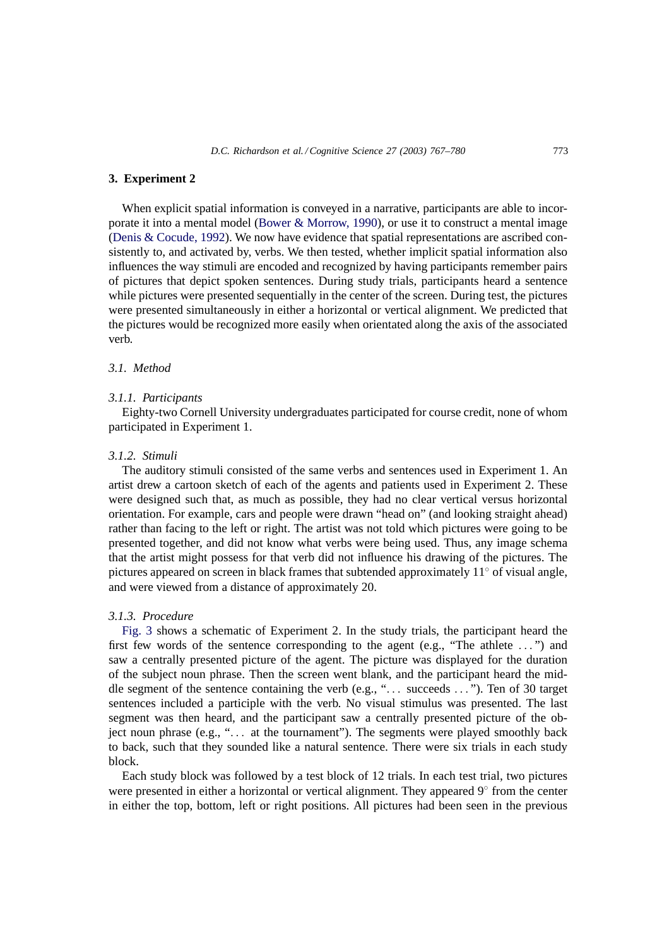## **3. Experiment 2**

When explicit spatial information is conveyed in a narrative, participants are able to incorporate it into a mental model ([Bower & Morrow, 1990\),](#page-12-0) or use it to construct a mental image [\(Denis & Cocude, 1992\).](#page-13-0) We now have evidence that spatial representations are ascribed consistently to, and activated by, verbs. We then tested, whether implicit spatial information also influences the way stimuli are encoded and recognized by having participants remember pairs of pictures that depict spoken sentences. During study trials, participants heard a sentence while pictures were presented sequentially in the center of the screen. During test, the pictures were presented simultaneously in either a horizontal or vertical alignment. We predicted that the pictures would be recognized more easily when orientated along the axis of the associated verb.

## *3.1. Method*

## *3.1.1. Participants*

Eighty-two Cornell University undergraduates participated for course credit, none of whom participated in Experiment 1.

#### *3.1.2. Stimuli*

The auditory stimuli consisted of the same verbs and sentences used in Experiment 1. An artist drew a cartoon sketch of each of the agents and patients used in Experiment 2. These were designed such that, as much as possible, they had no clear vertical versus horizontal orientation. For example, cars and people were drawn "head on" (and looking straight ahead) rather than facing to the left or right. The artist was not told which pictures were going to be presented together, and did not know what verbs were being used. Thus, any image schema that the artist might possess for that verb did not influence his drawing of the pictures. The pictures appeared on screen in black frames that subtended approximately 11◦ of visual angle, and were viewed from a distance of approximately 20.

#### *3.1.3. Procedure*

[Fig. 3](#page-7-0) shows a schematic of Experiment 2. In the study trials, the participant heard the first few words of the sentence corresponding to the agent (e.g., "The athlete ... ") and saw a centrally presented picture of the agent. The picture was displayed for the duration of the subject noun phrase. Then the screen went blank, and the participant heard the middle segment of the sentence containing the verb (e.g., "... succeeds ... "). Ten of 30 target sentences included a participle with the verb. No visual stimulus was presented. The last segment was then heard, and the participant saw a centrally presented picture of the object noun phrase (e.g., "... at the tournament"). The segments were played smoothly back to back, such that they sounded like a natural sentence. There were six trials in each study block.

Each study block was followed by a test block of 12 trials. In each test trial, two pictures were presented in either a horizontal or vertical alignment. They appeared 9◦ from the center in either the top, bottom, left or right positions. All pictures had been seen in the previous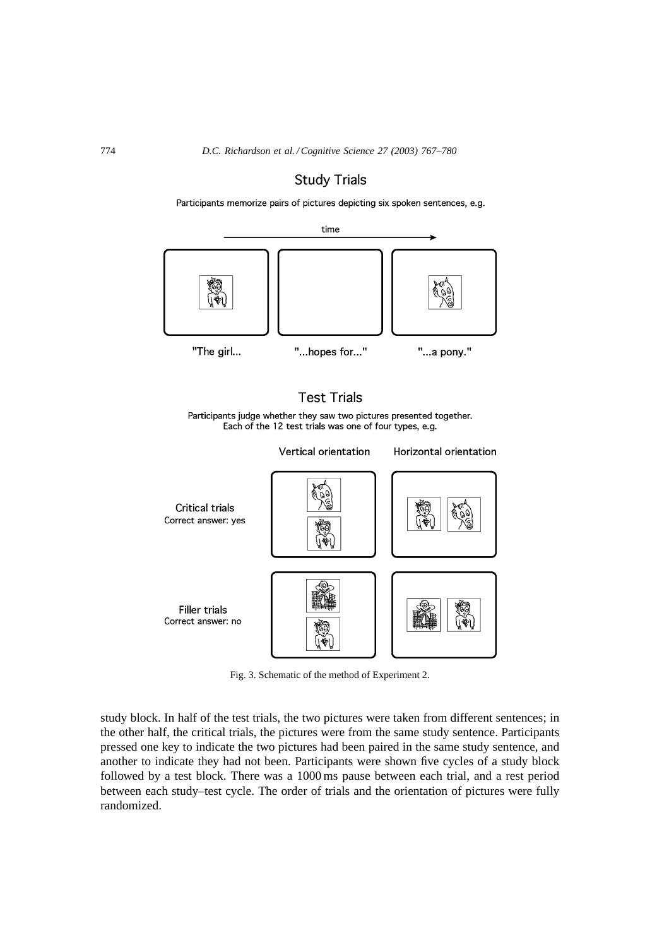**Study Trials** 

Participants memorize pairs of pictures depicting six spoken sentences, e.g.

<span id="page-7-0"></span>

Fig. 3. Schematic of the method of Experiment 2.

study block. In half of the test trials, the two pictures were taken from different sentences; in the other half, the critical trials, the pictures were from the same study sentence. Participants pressed one key to indicate the two pictures had been paired in the same study sentence, and another to indicate they had not been. Participants were shown five cycles of a study block followed by a test block. There was a 1000 ms pause between each trial, and a rest period between each study–test cycle. The order of trials and the orientation of pictures were fully randomized.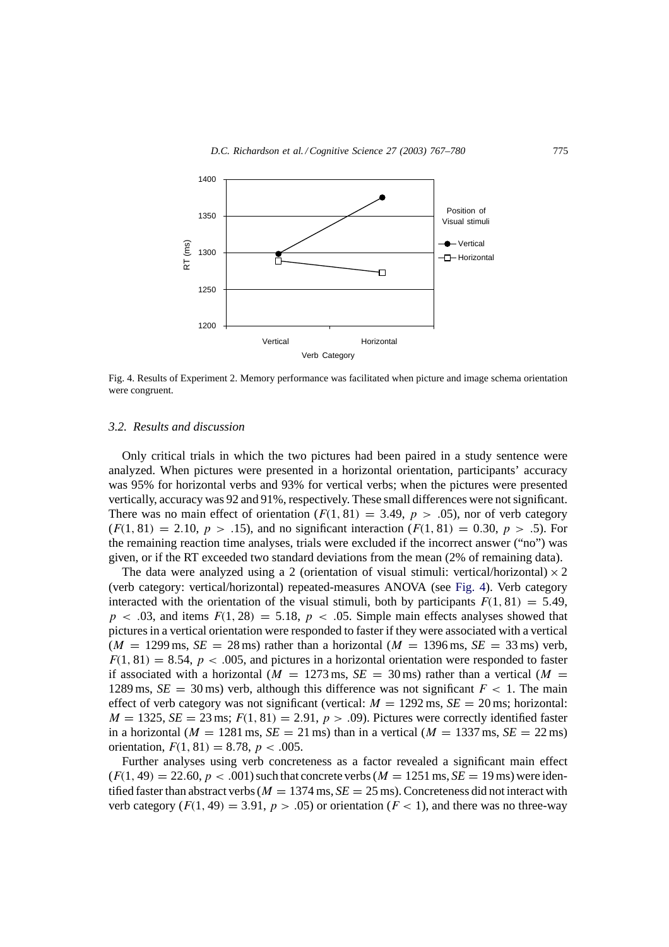

Fig. 4. Results of Experiment 2. Memory performance was facilitated when picture and image schema orientation were congruent.

## *3.2. Results and discussion*

Only critical trials in which the two pictures had been paired in a study sentence were analyzed. When pictures were presented in a horizontal orientation, participants' accuracy was 95% for horizontal verbs and 93% for vertical verbs; when the pictures were presented vertically, accuracy was 92 and 91%, respectively. These small differences were not significant. There was no main effect of orientation  $(F(1, 81) = 3.49, p > .05)$ , nor of verb category  $(F(1, 81) = 2.10, p > .15)$ , and no significant interaction  $(F(1, 81) = 0.30, p > .5)$ . For the remaining reaction time analyses, trials were excluded if the incorrect answer ("no") was given, or if the RT exceeded two standard deviations from the mean (2% of remaining data).

The data were analyzed using a 2 (orientation of visual stimuli: vertical/horizontal)  $\times$  2 (verb category: vertical/horizontal) repeated-measures ANOVA (see Fig. 4). Verb category interacted with the orientation of the visual stimuli, both by participants  $F(1, 81) = 5.49$ ,  $p \lt 0.03$ , and items  $F(1, 28) = 5.18$ ,  $p \lt 0.05$ . Simple main effects analyses showed that pictures in a vertical orientation were responded to faster if they were associated with a vertical  $(M = 1299 \text{ ms}, \, SE = 28 \text{ ms})$  rather than a horizontal  $(M = 1396 \text{ ms}, \, SE = 33 \text{ ms})$  verb,  $F(1, 81) = 8.54$ ,  $p < .005$ , and pictures in a horizontal orientation were responded to faster if associated with a horizontal ( $M = 1273$  ms,  $SE = 30$  ms) rather than a vertical ( $M =$ 1289 ms,  $SE = 30$  ms) verb, although this difference was not significant  $F < 1$ . The main effect of verb category was not significant (vertical:  $M = 1292$  ms,  $SE = 20$  ms; horizontal:  $M = 1325$ ,  $SE = 23$  ms;  $F(1, 81) = 2.91$ ,  $p > .09$ ). Pictures were correctly identified faster in a horizontal ( $M = 1281$  ms,  $SE = 21$  ms) than in a vertical ( $M = 1337$  ms,  $SE = 22$  ms) orientation,  $F(1, 81) = 8.78$ ,  $p < .005$ .

Further analyses using verb concreteness as a factor revealed a significant main effect  $(F(1, 49) = 22.60, p < .001)$  such that concrete verbs  $(M = 1251 \text{ ms}, SE = 19 \text{ ms})$  were identified faster than abstract verbs ( $M = 1374$  ms,  $SE = 25$  ms). Concreteness did not interact with verb category  $(F(1, 49) = 3.91, p > .05)$  or orientation  $(F < 1)$ , and there was no three-way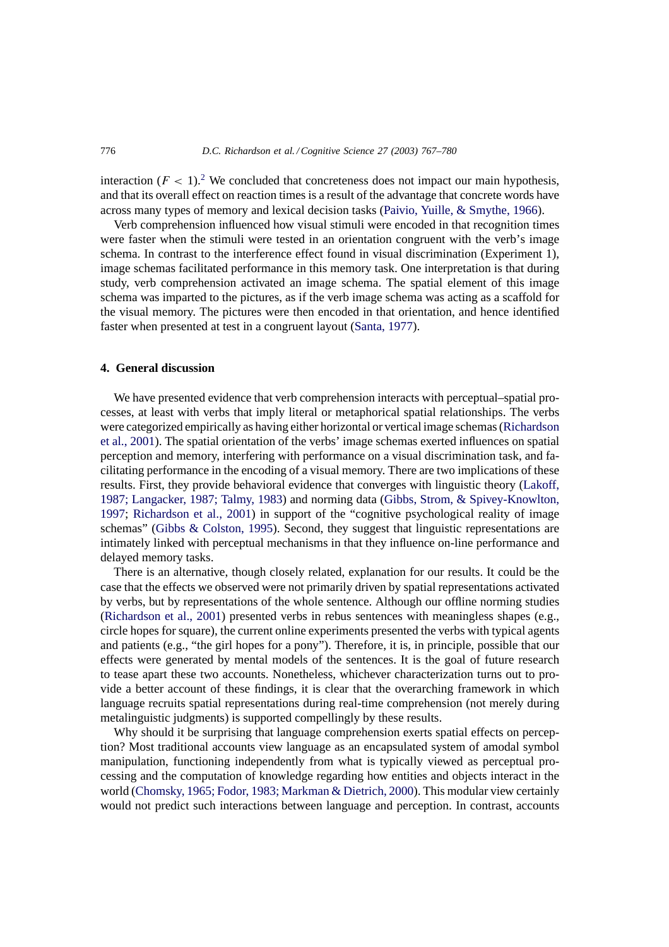interaction  $(F < 1)^2$ . [We](#page-10-0) concluded that concreteness does not impact our main hypothesis, and that its overall effect on reaction times is a result of the advantage that concrete words have across many types of memory and lexical decision tasks [\(Paivio, Yuille, & Smythe, 1966\).](#page-13-0)

Verb comprehension influenced how visual stimuli were encoded in that recognition times were faster when the stimuli were tested in an orientation congruent with the verb's image schema. In contrast to the interference effect found in visual discrimination (Experiment 1), image schemas facilitated performance in this memory task. One interpretation is that during study, verb comprehension activated an image schema. The spatial element of this image schema was imparted to the pictures, as if the verb image schema was acting as a scaffold for the visual memory. The pictures were then encoded in that orientation, and hence identified faster when presented at test in a congruent layout [\(Santa, 1977\).](#page-13-0)

#### **4. General discussion**

We have presented evidence that verb comprehension interacts with perceptual–spatial processes, at least with verbs that imply literal or metaphorical spatial relationships. The verbs were categorized empirically as having either horizontal or vertical image schemas ([Richardson](#page-13-0) [et al., 2001\).](#page-13-0) The spatial orientation of the verbs' image schemas exerted influences on spatial perception and memory, interfering with performance on a visual discrimination task, and facilitating performance in the encoding of a visual memory. There are two implications of these results. First, they provide behavioral evidence that converges with linguistic theory [\(Lakoff,](#page-13-0) [1987; Langacker, 1987; Talmy, 1983\)](#page-13-0) and norming data ([Gibbs, Strom, & Spivey-Knowlton,](#page-13-0) [1997;](#page-13-0) [Richardson et al., 2001\)](#page-13-0) in support of the "cognitive psychological reality of image schemas" ([Gibbs & Colston, 1995\)](#page-13-0). Second, they suggest that linguistic representations are intimately linked with perceptual mechanisms in that they influence on-line performance and delayed memory tasks.

There is an alternative, though closely related, explanation for our results. It could be the case that the effects we observed were not primarily driven by spatial representations activated by verbs, but by representations of the whole sentence. Although our offline norming studies [\(Richardson et al., 2001\)](#page-13-0) presented verbs in rebus sentences with meaningless shapes (e.g., circle hopes for square), the current online experiments presented the verbs with typical agents and patients (e.g., "the girl hopes for a pony"). Therefore, it is, in principle, possible that our effects were generated by mental models of the sentences. It is the goal of future research to tease apart these two accounts. Nonetheless, whichever characterization turns out to provide a better account of these findings, it is clear that the overarching framework in which language recruits spatial representations during real-time comprehension (not merely during metalinguistic judgments) is supported compellingly by these results.

Why should it be surprising that language comprehension exerts spatial effects on perception? Most traditional accounts view language as an encapsulated system of amodal symbol manipulation, functioning independently from what is typically viewed as perceptual processing and the computation of knowledge regarding how entities and objects interact in the world [\(Chomsky, 1965; Fodor, 1983; Markman & Dietrich, 2000\). T](#page-12-0)his modular view certainly would not predict such interactions between language and perception. In contrast, accounts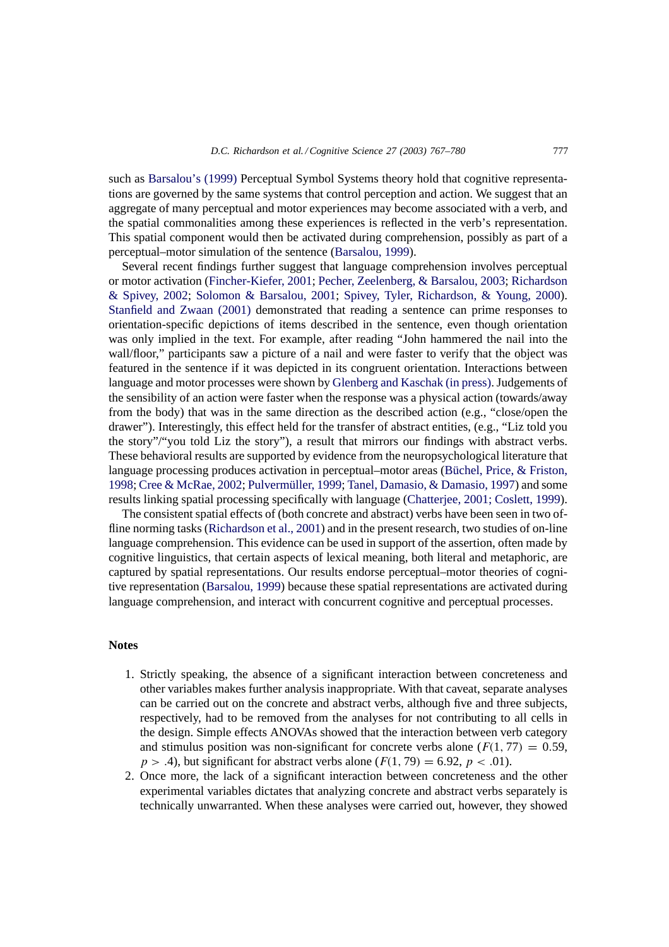<span id="page-10-0"></span>such as [Barsalou's \(1999\)](#page-12-0) Perceptual Symbol Systems theory hold that cognitive representations are governed by the same systems that control perception and action. We suggest that an aggregate of many perceptual and motor experiences may become associated with a verb, and the spatial commonalities among these experiences is reflected in the verb's representation. This spatial component would then be activated during comprehension, possibly as part of a perceptual–motor simulation of the sentence ([Barsalou, 1999\).](#page-12-0)

Several recent findings further suggest that language comprehension involves perceptual or motor activation ([Fincher-Kiefer, 2001;](#page-13-0) [Pecher, Zeelenberg, & Barsalou, 2003;](#page-13-0) [Richardson](#page-13-0) [& Spivey, 2002;](#page-13-0) [Solomon & Barsalou, 2001;](#page-13-0) [Spivey, Tyler, Richardson, & Young, 2000](#page-13-0)). [Stanfield and Zwaan \(2001\)](#page-13-0) demonstrated that reading a sentence can prime responses to orientation-specific depictions of items described in the sentence, even though orientation was only implied in the text. For example, after reading "John hammered the nail into the wall/floor," participants saw a picture of a nail and were faster to verify that the object was featured in the sentence if it was depicted in its congruent orientation. Interactions between language and motor processes were shown by [Glenberg and Kaschak \(in press\). J](#page-13-0)udgements of the sensibility of an action were faster when the response was a physical action (towards/away from the body) that was in the same direction as the described action (e.g., "close/open the drawer"). Interestingly, this effect held for the transfer of abstract entities, (e.g., "Liz told you the story"/"you told Liz the story"), a result that mirrors our findings with abstract verbs. These behavioral results are supported by evidence from the neuropsychological literature that language processing produces activation in perceptual–motor areas ([Büchel, Price, & Friston,](#page-12-0) [1998;](#page-12-0) [Cree & McRae, 2002;](#page-12-0) [Pulvermüller, 1999;](#page-13-0) [Tanel, Damasio, & Damasio, 1997\) a](#page-13-0)nd some results linking spatial processing specifically with language [\(Chatterjee, 2001; Coslett, 1999\).](#page-12-0)

The consistent spatial effects of (both concrete and abstract) verbs have been seen in two offline norming tasks ([Richardson et al., 2001\) a](#page-13-0)nd in the present research, two studies of on-line language comprehension. This evidence can be used in support of the assertion, often made by cognitive linguistics, that certain aspects of lexical meaning, both literal and metaphoric, are captured by spatial representations. Our results endorse perceptual–motor theories of cognitive representation ([Barsalou, 1999\)](#page-12-0) because these spatial representations are activated during language comprehension, and interact with concurrent cognitive and perceptual processes.

#### **Notes**

- 1. Strictly speaking, the absence of a significant interaction between concreteness and other variables makes further analysis inappropriate. With that caveat, separate analyses can be carried out on the concrete and abstract verbs, although five and three subjects, respectively, had to be removed from the analyses for not contributing to all cells in the design. Simple effects ANOVAs showed that the interaction between verb category and stimulus position was non-significant for concrete verbs alone ( $F(1, 77) = 0.59$ ,  $p > .4$ ), but significant for abstract verbs alone ( $F(1, 79) = 6.92$ ,  $p < .01$ ).
- 2. Once more, the lack of a significant interaction between concreteness and the other experimental variables dictates that analyzing concrete and abstract verbs separately is technically unwarranted. When these analyses were carried out, however, they showed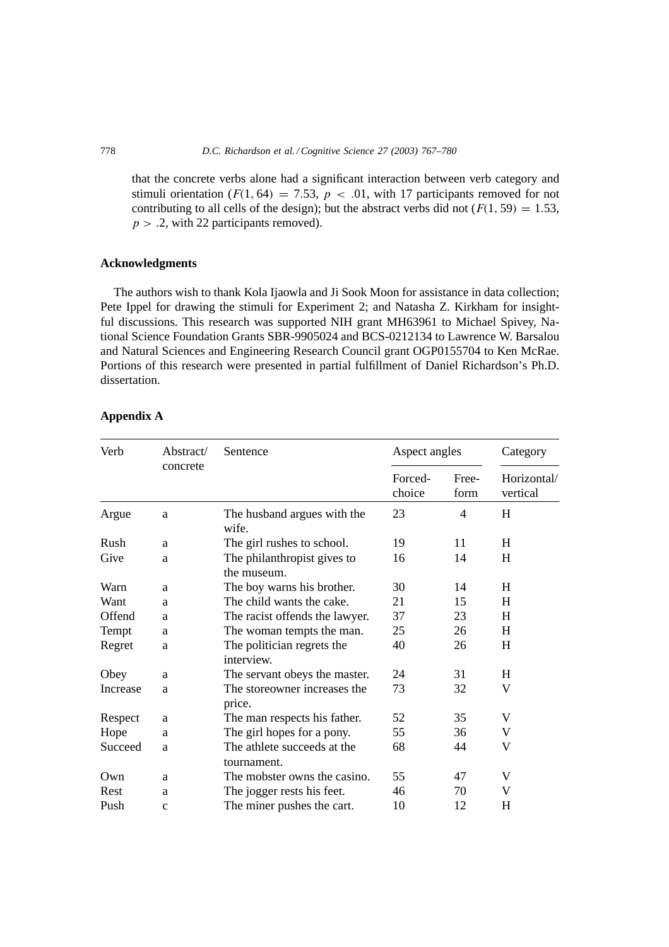<span id="page-11-0"></span>that the concrete verbs alone had a significant interaction between verb category and stimuli orientation ( $F(1, 64) = 7.53$ ,  $p < .01$ , with 17 participants removed for not contributing to all cells of the design); but the abstract verbs did not  $(F(1, 59) = 1.53$ ,  $p > .2$ , with 22 participants removed).

## **Acknowledgments**

The authors wish to thank Kola Ijaowla and Ji Sook Moon for assistance in data collection; Pete Ippel for drawing the stimuli for Experiment 2; and Natasha Z. Kirkham for insightful discussions. This research was supported NIH grant MH63961 to Michael Spivey, National Science Foundation Grants SBR-9905024 and BCS-0212134 to Lawrence W. Barsalou and Natural Sciences and Engineering Research Council grant OGP0155704 to Ken McRae. Portions of this research were presented in partial fulfillment of Daniel Richardson's Ph.D. dissertation.

| Verb     | Abstract/<br>concrete | Sentence                                   | Aspect angles     |               | Category                |  |
|----------|-----------------------|--------------------------------------------|-------------------|---------------|-------------------------|--|
|          |                       |                                            | Forced-<br>choice | Free-<br>form | Horizontal/<br>vertical |  |
| Argue    | a                     | The husband argues with the<br>wife.       | 23                | 4             | H                       |  |
| Rush     | a                     | The girl rushes to school.                 | 19                | 11            | H                       |  |
| Give     | a                     | The philanthropist gives to<br>the museum. | 16                | 14            | H                       |  |
| Warn     | a                     | The boy warns his brother.                 | 30                | 14            | H                       |  |
| Want     | a                     | The child wants the cake.                  | 21                | 15            | H                       |  |
| Offend   | a                     | The racist offends the lawyer.             | 37                | 23            | H                       |  |
| Tempt    | a                     | The woman tempts the man.                  | 25                | 26            | H                       |  |
| Regret   | a                     | The politician regrets the<br>interview.   | 40                | 26            | H                       |  |
| Obey     | a                     | The servant obeys the master.              | 24                | 31            | H                       |  |
| Increase | a                     | The storeowner increases the<br>price.     | 73                | 32            | V                       |  |
| Respect  | a                     | The man respects his father.               | 52                | 35            | V                       |  |
| Hope     | a                     | The girl hopes for a pony.                 | 55                | 36            | V                       |  |
| Succeed  | a                     | The athlete succeeds at the<br>tournament. | 68                | 44            | V                       |  |
| Own      | a                     | The mobster owns the casino.               | 55                | 47            | V                       |  |
| Rest     | a                     | The jogger rests his feet.                 | 46                | 70            | V                       |  |
| Push     | $\mathbf{C}$          | The miner pushes the cart.                 | 10                | 12            | Η                       |  |

### **Appendix A**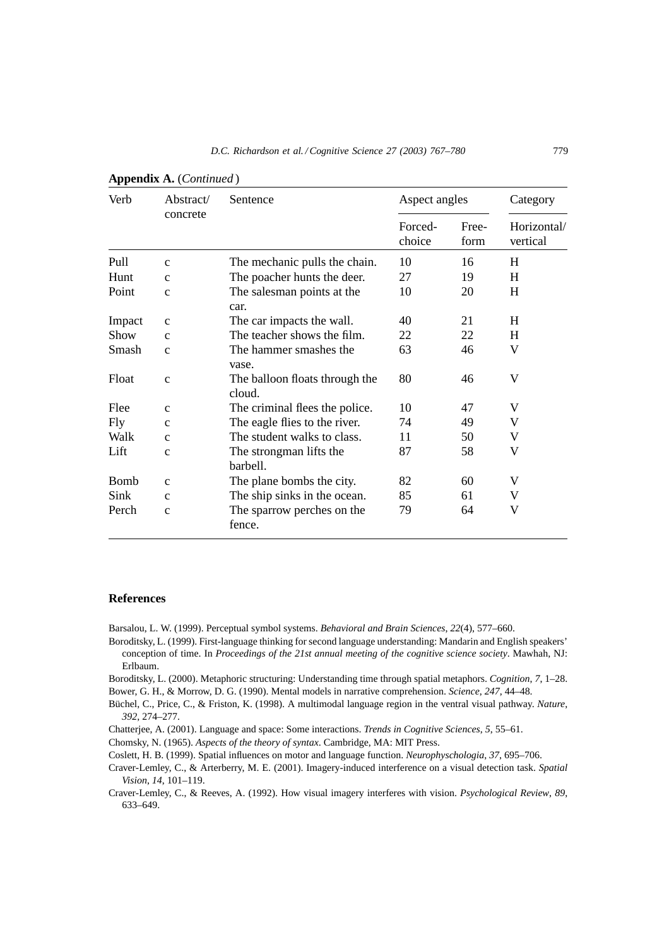| Verb         | Abstract/<br>concrete | Sentence                                 | Aspect angles     |               | Category                |
|--------------|-----------------------|------------------------------------------|-------------------|---------------|-------------------------|
|              |                       |                                          | Forced-<br>choice | Free-<br>form | Horizontal/<br>vertical |
| Pull         | $\mathbf{C}$          | The mechanic pulls the chain.            | 10                | 16            | H                       |
| Hunt         | $\mathbf{C}$          | The poacher hunts the deer.              | 27                | 19            | H                       |
| Point        | $\mathbf{C}$          | The salesman points at the<br>car.       | 10                | 20            | H                       |
| Impact       | $\mathbf{C}$          | The car impacts the wall.                | 40                | 21            | H                       |
| Show         | $\mathbf{C}$          | The teacher shows the film.              | 22                | 22            | H                       |
| Smash        | $\mathbf{C}$          | The hammer smashes the<br>vase.          | 63                | 46            | V                       |
| Float        | $\mathbf{C}$          | The balloon floats through the<br>cloud. | 80                | 46            | V                       |
| Flee         | $\mathbf{C}$          | The criminal flees the police.           | 10                | 47            | V                       |
| Fly          | $\mathbf{C}$          | The eagle flies to the river.            | 74                | 49            | V                       |
| Walk         | $\mathbf{C}$          | The student walks to class.              | 11                | 50            | V                       |
| Lift         | $\mathbf{C}$          | The strongman lifts the<br>barbell.      | 87                | 58            | V                       |
| <b>B</b> omb | $\mathbf{C}$          | The plane bombs the city.                | 82                | 60            | V                       |
| Sink         | $\mathbf{C}$          | The ship sinks in the ocean.             | 85                | 61            | V                       |
| Perch        | $\mathbf{C}$          | The sparrow perches on the<br>fence.     | 79                | 64            | V                       |

#### <span id="page-12-0"></span>**Appendix A.** (*Continued* )

## **References**

Barsalou, L. W. (1999). Perceptual symbol systems. *Behavioral and Brain Sciences*, *22*(4), 577–660.

Boroditsky, L. (1999). First-language thinking for second language understanding: Mandarin and English speakers' conception of time. In *Proceedings of the 21st annual meeting of the cognitive science society*. Mawhah, NJ: Erlbaum.

Boroditsky, L. (2000). Metaphoric structuring: Understanding time through spatial metaphors. *Cognition*, *7*, 1–28.

Bower, G. H., & Morrow, D. G. (1990). Mental models in narrative comprehension. *Science*, *247*, 44–48.

- Büchel, C., Price, C., & Friston, K. (1998). A multimodal language region in the ventral visual pathway. *Nature*, *392*, 274–277.
- Chatterjee, A. (2001). Language and space: Some interactions. *Trends in Cognitive Sciences*, *5*, 55–61.

Chomsky, N. (1965). *Aspects of the theory of syntax*. Cambridge, MA: MIT Press.

Coslett, H. B. (1999). Spatial influences on motor and language function. *Neurophyschologia*, *37*, 695–706.

Craver-Lemley, C., & Arterberry, M. E. (2001). Imagery-induced interference on a visual detection task. *Spatial Vision*, *14*, 101–119.

Craver-Lemley, C., & Reeves, A. (1992). How visual imagery interferes with vision. *Psychological Review*, *89*, 633–649.